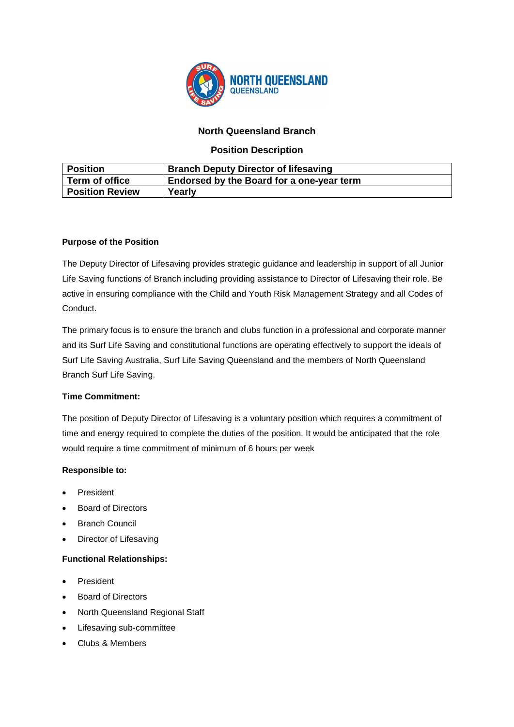

# **North Queensland Branch**

## **Position Description**

| <b>Position</b>        | <b>Branch Deputy Director of lifesaving</b> |
|------------------------|---------------------------------------------|
| Term of office         | Endorsed by the Board for a one-year term   |
| <b>Position Review</b> | Yearly                                      |

## **Purpose of the Position**

The Deputy Director of Lifesaving provides strategic guidance and leadership in support of all Junior Life Saving functions of Branch including providing assistance to Director of Lifesaving their role. Be active in ensuring compliance with the Child and Youth Risk Management Strategy and all Codes of Conduct.

The primary focus is to ensure the branch and clubs function in a professional and corporate manner and its Surf Life Saving and constitutional functions are operating effectively to support the ideals of Surf Life Saving Australia, Surf Life Saving Queensland and the members of North Queensland Branch Surf Life Saving.

## **Time Commitment:**

The position of Deputy Director of Lifesaving is a voluntary position which requires a commitment of time and energy required to complete the duties of the position. It would be anticipated that the role would require a time commitment of minimum of 6 hours per week

# **Responsible to:**

- President
- Board of Directors
- **Branch Council**
- Director of Lifesaving

## **Functional Relationships:**

- **President**
- Board of Directors
- North Queensland Regional Staff
- Lifesaving sub-committee
- Clubs & Members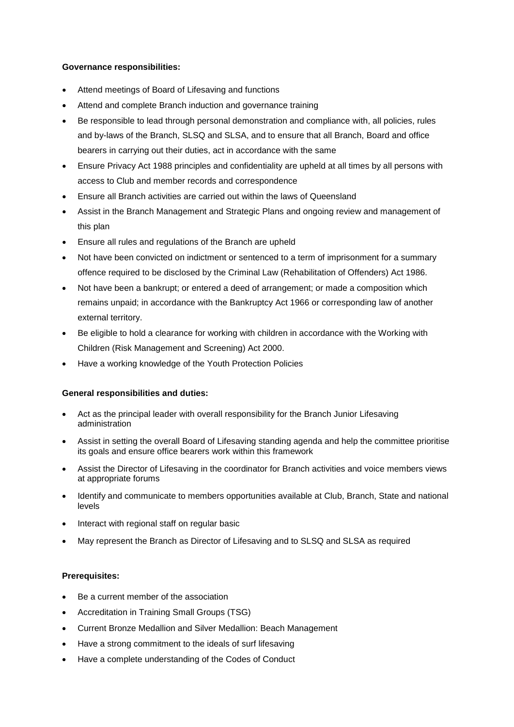### **Governance responsibilities:**

- Attend meetings of Board of Lifesaving and functions
- Attend and complete Branch induction and governance training
- Be responsible to lead through personal demonstration and compliance with, all policies, rules and by-laws of the Branch, SLSQ and SLSA, and to ensure that all Branch, Board and office bearers in carrying out their duties, act in accordance with the same
- Ensure Privacy Act 1988 principles and confidentiality are upheld at all times by all persons with access to Club and member records and correspondence
- Ensure all Branch activities are carried out within the laws of Queensland
- Assist in the Branch Management and Strategic Plans and ongoing review and management of this plan
- Ensure all rules and regulations of the Branch are upheld
- Not have been convicted on indictment or sentenced to a term of imprisonment for a summary offence required to be disclosed by the Criminal Law (Rehabilitation of Offenders) Act 1986.
- Not have been a bankrupt; or entered a deed of arrangement; or made a composition which remains unpaid; in accordance with the Bankruptcy Act 1966 or corresponding law of another external territory.
- Be eligible to hold a clearance for working with children in accordance with the Working with Children (Risk Management and Screening) Act 2000.
- Have a working knowledge of the Youth Protection Policies

### **General responsibilities and duties:**

- Act as the principal leader with overall responsibility for the Branch Junior Lifesaving administration
- Assist in setting the overall Board of Lifesaving standing agenda and help the committee prioritise its goals and ensure office bearers work within this framework
- Assist the Director of Lifesaving in the coordinator for Branch activities and voice members views at appropriate forums
- Identify and communicate to members opportunities available at Club, Branch, State and national levels
- Interact with regional staff on regular basic
- May represent the Branch as Director of Lifesaving and to SLSQ and SLSA as required

#### **Prerequisites:**

- Be a current member of the association
- Accreditation in Training Small Groups (TSG)
- Current Bronze Medallion and Silver Medallion: Beach Management
- Have a strong commitment to the ideals of surf lifesaving
- Have a complete understanding of the Codes of Conduct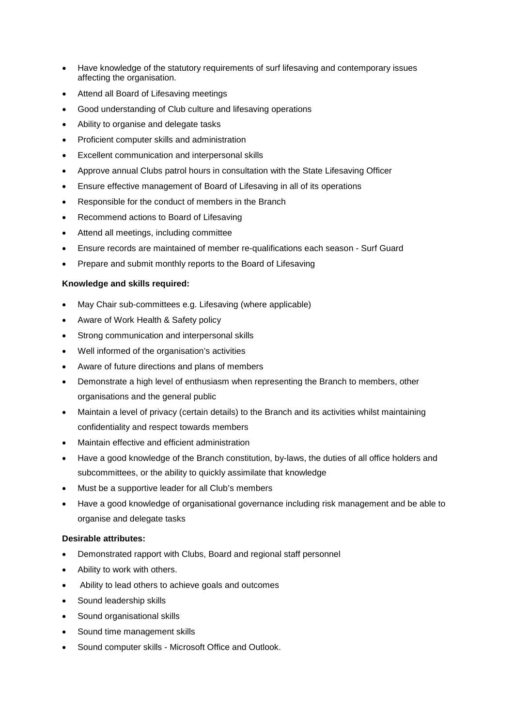- Have knowledge of the statutory requirements of surf lifesaving and contemporary issues affecting the organisation.
- Attend all Board of Lifesaving meetings
- Good understanding of Club culture and lifesaving operations
- Ability to organise and delegate tasks
- Proficient computer skills and administration
- Excellent communication and interpersonal skills
- Approve annual Clubs patrol hours in consultation with the State Lifesaving Officer
- Ensure effective management of Board of Lifesaving in all of its operations
- Responsible for the conduct of members in the Branch
- Recommend actions to Board of Lifesaving
- Attend all meetings, including committee
- Ensure records are maintained of member re-qualifications each season Surf Guard
- Prepare and submit monthly reports to the Board of Lifesaving

## **Knowledge and skills required:**

- May Chair sub-committees e.g. Lifesaving (where applicable)
- Aware of Work Health & Safety policy
- Strong communication and interpersonal skills
- Well informed of the organisation's activities
- Aware of future directions and plans of members
- Demonstrate a high level of enthusiasm when representing the Branch to members, other organisations and the general public
- Maintain a level of privacy (certain details) to the Branch and its activities whilst maintaining confidentiality and respect towards members
- Maintain effective and efficient administration
- Have a good knowledge of the Branch constitution, by-laws, the duties of all office holders and subcommittees, or the ability to quickly assimilate that knowledge
- Must be a supportive leader for all Club's members
- Have a good knowledge of organisational governance including risk management and be able to organise and delegate tasks

## **Desirable attributes:**

- Demonstrated rapport with Clubs, Board and regional staff personnel
- Ability to work with others.
- Ability to lead others to achieve goals and outcomes
- Sound leadership skills
- Sound organisational skills
- Sound time management skills
- Sound computer skills Microsoft Office and Outlook.